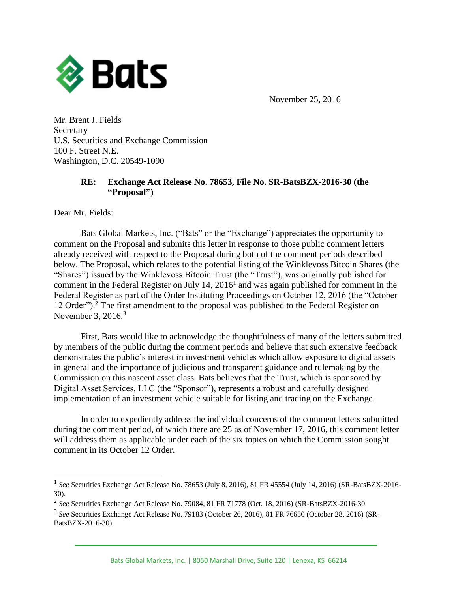

November 25, 2016

Mr. Brent J. Fields Secretary U.S. Securities and Exchange Commission 100 F. Street N.E. Washington, D.C. 20549-1090

## **RE: Exchange Act Release No. 78653, File No. SR-BatsBZX-2016-30 (the "Proposal")**

Dear Mr. Fields:

 $\overline{a}$ 

Bats Global Markets, Inc. ("Bats" or the "Exchange") appreciates the opportunity to comment on the Proposal and submits this letter in response to those public comment letters already received with respect to the Proposal during both of the comment periods described below. The Proposal, which relates to the potential listing of the Winklevoss Bitcoin Shares (the "Shares") issued by the Winklevoss Bitcoin Trust (the "Trust"), was originally published for comment in the Federal Register on July  $14$ ,  $2016<sup>1</sup>$  and was again published for comment in the Federal Register as part of the Order Instituting Proceedings on October 12, 2016 (the "October 12 Order").<sup>2</sup> The first amendment to the proposal was published to the Federal Register on November 3, 2016.<sup>3</sup>

First, Bats would like to acknowledge the thoughtfulness of many of the letters submitted by members of the public during the comment periods and believe that such extensive feedback demonstrates the public's interest in investment vehicles which allow exposure to digital assets in general and the importance of judicious and transparent guidance and rulemaking by the Commission on this nascent asset class. Bats believes that the Trust, which is sponsored by Digital Asset Services, LLC (the "Sponsor"), represents a robust and carefully designed implementation of an investment vehicle suitable for listing and trading on the Exchange.

In order to expediently address the individual concerns of the comment letters submitted during the comment period, of which there are 25 as of November 17, 2016, this comment letter will address them as applicable under each of the six topics on which the Commission sought comment in its October 12 Order.

<sup>&</sup>lt;sup>1</sup> See Securities Exchange Act Release No. 78653 (July 8, 2016), 81 FR 45554 (July 14, 2016) (SR-BatsBZX-2016-30).

<sup>2</sup> *See* Securities Exchange Act Release No. 79084, 81 FR 71778 (Oct. 18, 2016) (SR-BatsBZX-2016-30.

<sup>3</sup> *See* Securities Exchange Act Release No. 79183 (October 26, 2016), 81 FR 76650 (October 28, 2016) (SR-BatsBZX-2016-30).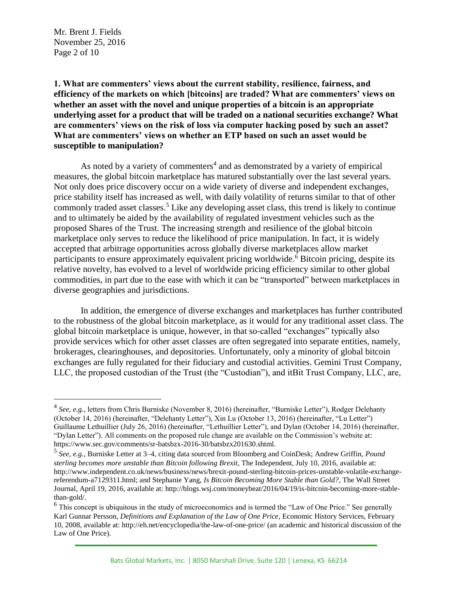Mr. Brent J. Fields November 25, 2016 Page 2 of 10

 $\overline{a}$ 

**1. What are commenters' views about the current stability, resilience, fairness, and efficiency of the markets on which [bitcoins] are traded? What are commenters' views on whether an asset with the novel and unique properties of a bitcoin is an appropriate underlying asset for a product that will be traded on a national securities exchange? What are commenters' views on the risk of loss via computer hacking posed by such an asset? What are commenters' views on whether an ETP based on such an asset would be susceptible to manipulation?**

As noted by a variety of commenters<sup>4</sup> and as demonstrated by a variety of empirical measures, the global bitcoin marketplace has matured substantially over the last several years. Not only does price discovery occur on a wide variety of diverse and independent exchanges, price stability itself has increased as well, with daily volatility of returns similar to that of other commonly traded asset classes.<sup>5</sup> Like any developing asset class, this trend is likely to continue and to ultimately be aided by the availability of regulated investment vehicles such as the proposed Shares of the Trust. The increasing strength and resilience of the global bitcoin marketplace only serves to reduce the likelihood of price manipulation. In fact, it is widely accepted that arbitrage opportunities across globally diverse marketplaces allow market participants to ensure approximately equivalent pricing worldwide.<sup>6</sup> Bitcoin pricing, despite its relative novelty, has evolved to a level of worldwide pricing efficiency similar to other global commodities, in part due to the ease with which it can be "transported" between marketplaces in diverse geographies and jurisdictions.

In addition, the emergence of diverse exchanges and marketplaces has further contributed to the robustness of the global bitcoin marketplace, as it would for any traditional asset class. The global bitcoin marketplace is unique, however, in that so-called "exchanges" typically also provide services which for other asset classes are often segregated into separate entities, namely, brokerages, clearinghouses, and depositories. Unfortunately, only a minority of global bitcoin exchanges are fully regulated for their fiduciary and custodial activities. Gemini Trust Company, LLC, the proposed custodian of the Trust (the "Custodian"), and itBit Trust Company, LLC, are,

<sup>&</sup>lt;sup>4</sup> See, e.g., letters from Chris Burniske (November 8, 2016) (hereinafter, "Burniske Letter"), Rodger Delehanty (October 14, 2016) (hereinafter, "Delehanty Letter"), Xin Lu (October 13, 2016) (hereinafter, "Lu Letter") Guillaume Lethuillier (July 26, 2016) (hereinafter, "Lethuillier Letter"), and Dylan (October 14, 2016) (hereinafter, "Dylan Letter"). All comments on the proposed rule change are available on the Commission's website at: https://www.sec.gov/comments/sr-batsbzx-2016-30/batsbzx201630.shtml.

<sup>5</sup> *See, e.g.*, Burniske Letter at 3–4, citing data sourced from Bloomberg and CoinDesk; Andrew Griffin, *Pound sterling becomes more unstable than Bitcoin following Brexit*, The Independent, July 10, 2016, available at: http://www.independent.co.uk/news/business/news/brexit-pound-sterling-bitcoin-prices-unstable-volatile-exchangereferendum-a7129311.html; and Stephanie Yang, *Is Bitcoin Becoming More Stable than Gold?*, The Wall Street Journal, April 19, 2016, available at: http://blogs.wsj.com/moneybeat/2016/04/19/is-bitcoin-becoming-more-stablethan-gold/.

 $6$  This concept is ubiquitous in the study of microeconomics and is termed the "Law of One Price." See generally Karl Gunnar Persson, *Definitions and Explanation of the Law of One Price*, Economic History Services, February 10, 2008, available at: http://eh.net/encyclopedia/the-law-of-one-price/ (an academic and historical discussion of the Law of One Price).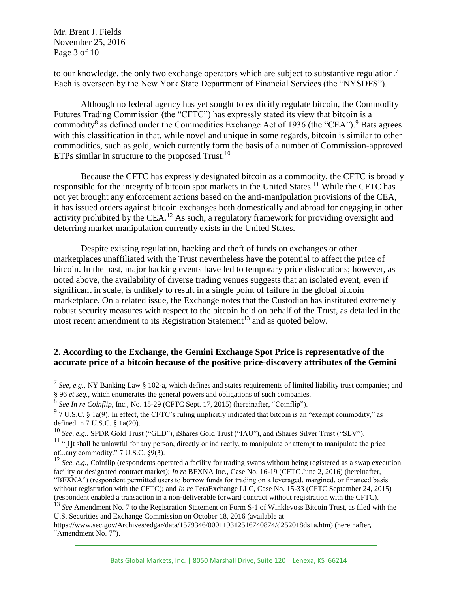Mr. Brent J. Fields November 25, 2016 Page 3 of 10

 $\overline{a}$ 

to our knowledge, the only two exchange operators which are subject to substantive regulation.<sup>7</sup> Each is overseen by the New York State Department of Financial Services (the "NYSDFS").

Although no federal agency has yet sought to explicitly regulate bitcoin, the Commodity Futures Trading Commission (the "CFTC") has expressly stated its view that bitcoin is a commodity<sup>8</sup> as defined under the Commodities Exchange Act of 1936 (the "CEA").<sup>9</sup> Bats agrees with this classification in that, while novel and unique in some regards, bitcoin is similar to other commodities, such as gold, which currently form the basis of a number of Commission-approved ETPs similar in structure to the proposed Trust.<sup>10</sup>

Because the CFTC has expressly designated bitcoin as a commodity, the CFTC is broadly responsible for the integrity of bitcoin spot markets in the United States.<sup>11</sup> While the CFTC has not yet brought any enforcement actions based on the anti-manipulation provisions of the CEA, it has issued orders against bitcoin exchanges both domestically and abroad for engaging in other activity prohibited by the CEA.<sup>12</sup> As such, a regulatory framework for providing oversight and deterring market manipulation currently exists in the United States.

Despite existing regulation, hacking and theft of funds on exchanges or other marketplaces unaffiliated with the Trust nevertheless have the potential to affect the price of bitcoin. In the past, major hacking events have led to temporary price dislocations; however, as noted above, the availability of diverse trading venues suggests that an isolated event, even if significant in scale, is unlikely to result in a single point of failure in the global bitcoin marketplace. On a related issue, the Exchange notes that the Custodian has instituted extremely robust security measures with respect to the bitcoin held on behalf of the Trust, as detailed in the most recent amendment to its Registration Statement<sup>13</sup> and as quoted below.

# **2. According to the Exchange, the Gemini Exchange Spot Price is representative of the accurate price of a bitcoin because of the positive price-discovery attributes of the Gemini**

<sup>7</sup> *See, e.g.*, NY Banking Law § 102-a, which defines and states requirements of limited liability trust companies; and § 96 *et seq.*, which enumerates the general powers and obligations of such companies.

<sup>8</sup> *See In re Coinflip*, Inc., No. 15-29 (CFTC Sept. 17, 2015) (hereinafter, "Coinflip").

 $9$  7 U.S.C. § 1a(9). In effect, the CFTC's ruling implicitly indicated that bitcoin is an "exempt commodity," as defined in 7 U.S.C. § 1a(20).

<sup>10</sup> *See, e.g.*, SPDR Gold Trust ("GLD"), iShares Gold Trust ("IAU"), and iShares Silver Trust ("SLV").

<sup>&</sup>lt;sup>11</sup> "[I]t shall be unlawful for any person, directly or indirectly, to manipulate or attempt to manipulate the price of...any commodity." 7 U.S.C. §9(3).

<sup>&</sup>lt;sup>12</sup> *See, e.g.*, Coinflip (respondents operated a facility for trading swaps without being registered as a swap execution facility or designated contract market); *In re* BFXNA Inc., Case No. 16-19 (CFTC June 2, 2016) (hereinafter, "BFXNA") (respondent permitted users to borrow funds for trading on a leveraged, margined, or financed basis without registration with the CFTC); and *In re* TeraExchange LLC, Case No. 15-33 (CFTC September 24, 2015) (respondent enabled a transaction in a non-deliverable forward contract without registration with the CFTC).

<sup>13</sup> *See* Amendment No. 7 to the Registration Statement on Form S-1 of Winklevoss Bitcoin Trust, as filed with the U.S. Securities and Exchange Commission on October 18, 2016 (available at

https://www.sec.gov/Archives/edgar/data/1579346/000119312516740874/d252018ds1a.htm) (hereinafter, "Amendment No. 7").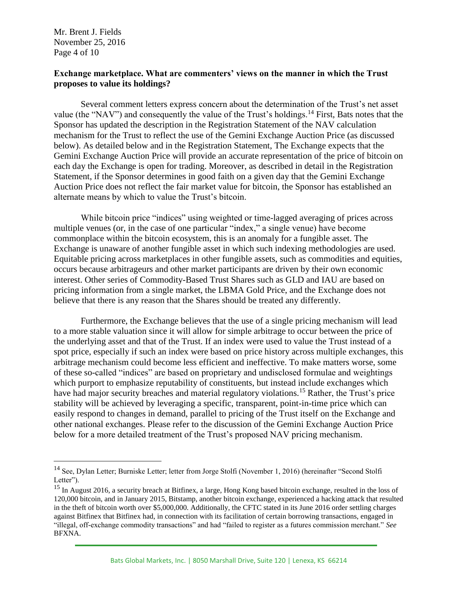Mr. Brent J. Fields November 25, 2016 Page 4 of 10

 $\overline{a}$ 

#### **Exchange marketplace. What are commenters' views on the manner in which the Trust proposes to value its holdings?**

Several comment letters express concern about the determination of the Trust's net asset value (the "NAV") and consequently the value of the Trust's holdings.<sup>14</sup> First, Bats notes that the Sponsor has updated the description in the Registration Statement of the NAV calculation mechanism for the Trust to reflect the use of the Gemini Exchange Auction Price (as discussed below). As detailed below and in the Registration Statement, The Exchange expects that the Gemini Exchange Auction Price will provide an accurate representation of the price of bitcoin on each day the Exchange is open for trading. Moreover, as described in detail in the Registration Statement, if the Sponsor determines in good faith on a given day that the Gemini Exchange Auction Price does not reflect the fair market value for bitcoin, the Sponsor has established an alternate means by which to value the Trust's bitcoin.

While bitcoin price "indices" using weighted or time-lagged averaging of prices across multiple venues (or, in the case of one particular "index," a single venue) have become commonplace within the bitcoin ecosystem, this is an anomaly for a fungible asset. The Exchange is unaware of another fungible asset in which such indexing methodologies are used. Equitable pricing across marketplaces in other fungible assets, such as commodities and equities, occurs because arbitrageurs and other market participants are driven by their own economic interest. Other series of Commodity-Based Trust Shares such as GLD and IAU are based on pricing information from a single market, the LBMA Gold Price, and the Exchange does not believe that there is any reason that the Shares should be treated any differently.

Furthermore, the Exchange believes that the use of a single pricing mechanism will lead to a more stable valuation since it will allow for simple arbitrage to occur between the price of the underlying asset and that of the Trust. If an index were used to value the Trust instead of a spot price, especially if such an index were based on price history across multiple exchanges, this arbitrage mechanism could become less efficient and ineffective. To make matters worse, some of these so-called "indices" are based on proprietary and undisclosed formulae and weightings which purport to emphasize reputability of constituents, but instead include exchanges which have had major security breaches and material regulatory violations.<sup>15</sup> Rather, the Trust's price stability will be achieved by leveraging a specific, transparent, point-in-time price which can easily respond to changes in demand, parallel to pricing of the Trust itself on the Exchange and other national exchanges. Please refer to the discussion of the Gemini Exchange Auction Price below for a more detailed treatment of the Trust's proposed NAV pricing mechanism.

<sup>&</sup>lt;sup>14</sup> See, Dylan Letter; Burniske Letter; letter from Jorge Stolfi (November 1, 2016) (hereinafter "Second Stolfi Letter").

<sup>&</sup>lt;sup>15</sup> In August 2016, a security breach at Bitfinex, a large, Hong Kong based bitcoin exchange, resulted in the loss of 120,000 bitcoin, and in January 2015, Bitstamp, another bitcoin exchange, experienced a hacking attack that resulted in the theft of bitcoin worth over \$5,000,000. Additionally, the CFTC stated in its June 2016 order settling charges against Bitfinex that Bitfinex had, in connection with its facilitation of certain borrowing transactions, engaged in "illegal, off-exchange commodity transactions" and had "failed to register as a futures commission merchant." *See* BFXNA.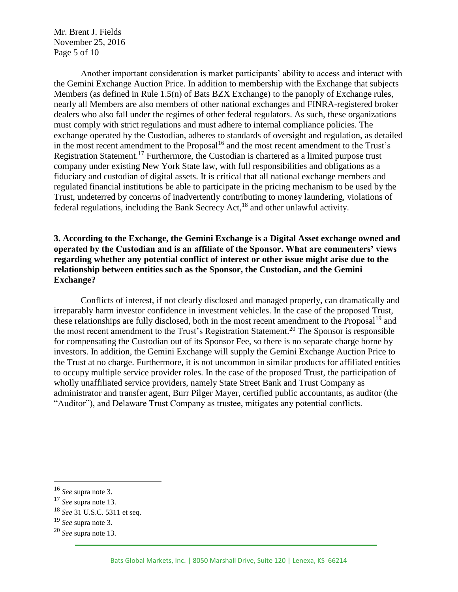Mr. Brent J. Fields November 25, 2016 Page 5 of 10

Another important consideration is market participants' ability to access and interact with the Gemini Exchange Auction Price. In addition to membership with the Exchange that subjects Members (as defined in Rule 1.5(n) of Bats BZX Exchange) to the panoply of Exchange rules, nearly all Members are also members of other national exchanges and FINRA-registered broker dealers who also fall under the regimes of other federal regulators. As such, these organizations must comply with strict regulations and must adhere to internal compliance policies. The exchange operated by the Custodian, adheres to standards of oversight and regulation, as detailed in the most recent amendment to the Proposal $16$  and the most recent amendment to the Trust's Registration Statement.<sup>17</sup> Furthermore, the Custodian is chartered as a limited purpose trust company under existing New York State law, with full responsibilities and obligations as a fiduciary and custodian of digital assets. It is critical that all national exchange members and regulated financial institutions be able to participate in the pricing mechanism to be used by the Trust, undeterred by concerns of inadvertently contributing to money laundering, violations of federal regulations, including the Bank Secrecy Act,  $^{18}$  and other unlawful activity.

## **3. According to the Exchange, the Gemini Exchange is a Digital Asset exchange owned and operated by the Custodian and is an affiliate of the Sponsor. What are commenters' views regarding whether any potential conflict of interest or other issue might arise due to the relationship between entities such as the Sponsor, the Custodian, and the Gemini Exchange?**

Conflicts of interest, if not clearly disclosed and managed properly, can dramatically and irreparably harm investor confidence in investment vehicles. In the case of the proposed Trust, these relationships are fully disclosed, both in the most recent amendment to the Proposal<sup>19</sup> and the most recent amendment to the Trust's Registration Statement.<sup>20</sup> The Sponsor is responsible for compensating the Custodian out of its Sponsor Fee, so there is no separate charge borne by investors. In addition, the Gemini Exchange will supply the Gemini Exchange Auction Price to the Trust at no charge. Furthermore, it is not uncommon in similar products for affiliated entities to occupy multiple service provider roles. In the case of the proposed Trust, the participation of wholly unaffiliated service providers, namely State Street Bank and Trust Company as administrator and transfer agent, Burr Pilger Mayer, certified public accountants, as auditor (the "Auditor"), and Delaware Trust Company as trustee, mitigates any potential conflicts.

<sup>16</sup> *See* supra note 3.

<sup>17</sup> *See* supra note 13.

<sup>18</sup> *See* 31 U.S.C. 5311 et seq.

<sup>19</sup> *See* supra note 3.

<sup>20</sup> *See* supra note 13.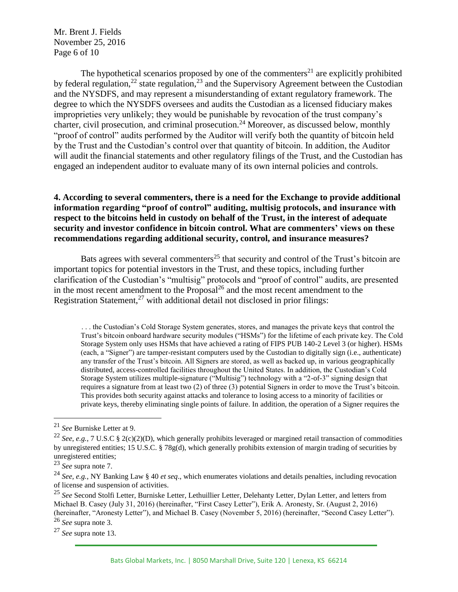Mr. Brent J. Fields November 25, 2016 Page 6 of 10

The hypothetical scenarios proposed by one of the commenters<sup>21</sup> are explicitly prohibited by federal regulation,<sup>22</sup> state regulation,<sup>23</sup> and the Supervisory Agreement between the Custodian and the NYSDFS, and may represent a misunderstanding of extant regulatory framework. The degree to which the NYSDFS oversees and audits the Custodian as a licensed fiduciary makes improprieties very unlikely; they would be punishable by revocation of the trust company's charter, civil prosecution, and criminal prosecution.<sup>24</sup> Moreover, as discussed below, monthly "proof of control" audits performed by the Auditor will verify both the quantity of bitcoin held by the Trust and the Custodian's control over that quantity of bitcoin. In addition, the Auditor will audit the financial statements and other regulatory filings of the Trust, and the Custodian has engaged an independent auditor to evaluate many of its own internal policies and controls.

## **4. According to several commenters, there is a need for the Exchange to provide additional information regarding "proof of control" auditing, multisig protocols, and insurance with respect to the bitcoins held in custody on behalf of the Trust, in the interest of adequate security and investor confidence in bitcoin control. What are commenters' views on these recommendations regarding additional security, control, and insurance measures?**

Bats agrees with several commenters<sup>25</sup> that security and control of the Trust's bitcoin are important topics for potential investors in the Trust, and these topics, including further clarification of the Custodian's "multisig" protocols and "proof of control" audits, are presented in the most recent amendment to the Proposal<sup>26</sup> and the most recent amendment to the Registration Statement, $27$  with additional detail not disclosed in prior filings:

. . . the Custodian's Cold Storage System generates, stores, and manages the private keys that control the Trust's bitcoin onboard hardware security modules ("HSMs") for the lifetime of each private key. The Cold Storage System only uses HSMs that have achieved a rating of FIPS PUB 140-2 Level 3 (or higher). HSMs (each, a "Signer") are tamper-resistant computers used by the Custodian to digitally sign (i.e., authenticate) any transfer of the Trust's bitcoin. All Signers are stored, as well as backed up, in various geographically distributed, access-controlled facilities throughout the United States. In addition, the Custodian's Cold Storage System utilizes multiple-signature ("Multisig") technology with a "2-of-3" signing design that requires a signature from at least two (2) of three (3) potential Signers in order to move the Trust's bitcoin. This provides both security against attacks and tolerance to losing access to a minority of facilities or private keys, thereby eliminating single points of failure. In addition, the operation of a Signer requires the

 $\overline{a}$ 

<sup>26</sup> *See* supra note 3.

<sup>27</sup> *See* supra note 13.

<sup>21</sup> *See* Burniske Letter at 9.

<sup>&</sup>lt;sup>22</sup> *See, e.g.*, 7 U.S.C § 2(c)(2)(D), which generally prohibits leveraged or margined retail transaction of commodities by unregistered entities; 15 U.S.C. § 78g(d), which generally prohibits extension of margin trading of securities by unregistered entities;

<sup>23</sup> *See* supra note 7.

<sup>24</sup> *See, e.g.*, NY Banking Law § 40 *et seq*., which enumerates violations and details penalties, including revocation of license and suspension of activities.

<sup>25</sup> *See* Second Stolfi Letter, Burniske Letter, Lethuillier Letter, Delehanty Letter, Dylan Letter, and letters from Michael B. Casey (July 31, 2016) (hereinafter, "First Casey Letter"), Erik A. Aronesty, Sr. (August 2, 2016) (hereinafter, "Aronesty Letter"), and Michael B. Casey (November 5, 2016) (hereinafter, "Second Casey Letter").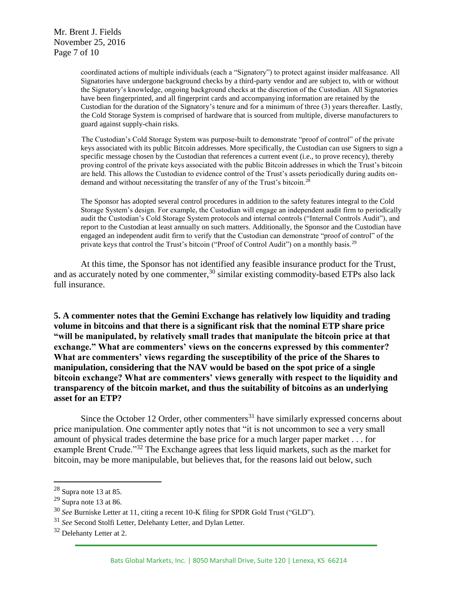Mr. Brent J. Fields November 25, 2016 Page 7 of 10

> coordinated actions of multiple individuals (each a "Signatory") to protect against insider malfeasance. All Signatories have undergone background checks by a third-party vendor and are subject to, with or without the Signatory's knowledge, ongoing background checks at the discretion of the Custodian. All Signatories have been fingerprinted, and all fingerprint cards and accompanying information are retained by the Custodian for the duration of the Signatory's tenure and for a minimum of three (3) years thereafter. Lastly, the Cold Storage System is comprised of hardware that is sourced from multiple, diverse manufacturers to guard against supply-chain risks.

> The Custodian's Cold Storage System was purpose-built to demonstrate "proof of control" of the private keys associated with its public Bitcoin addresses. More specifically, the Custodian can use Signers to sign a specific message chosen by the Custodian that references a current event (i.e., to prove recency), thereby proving control of the private keys associated with the public Bitcoin addresses in which the Trust's bitcoin are held. This allows the Custodian to evidence control of the Trust's assets periodically during audits ondemand and without necessitating the transfer of any of the Trust's bitcoin.<sup>28</sup>

> The Sponsor has adopted several control procedures in addition to the safety features integral to the Cold Storage System's design. For example, the Custodian will engage an independent audit firm to periodically audit the Custodian's Cold Storage System protocols and internal controls ("Internal Controls Audit"), and report to the Custodian at least annually on such matters. Additionally, the Sponsor and the Custodian have engaged an independent audit firm to verify that the Custodian can demonstrate "proof of control" of the private keys that control the Trust's bitcoin ("Proof of Control Audit") on a monthly basis.<sup>29</sup>

At this time, the Sponsor has not identified any feasible insurance product for the Trust, and as accurately noted by one commenter,  $30 \sin \theta$  existing commodity-based ETPs also lack full insurance.

**5. A commenter notes that the Gemini Exchange has relatively low liquidity and trading volume in bitcoins and that there is a significant risk that the nominal ETP share price "will be manipulated, by relatively small trades that manipulate the bitcoin price at that exchange." What are commenters' views on the concerns expressed by this commenter? What are commenters' views regarding the susceptibility of the price of the Shares to manipulation, considering that the NAV would be based on the spot price of a single bitcoin exchange? What are commenters' views generally with respect to the liquidity and transparency of the bitcoin market, and thus the suitability of bitcoins as an underlying asset for an ETP?**

Since the October 12 Order, other commenters $31$  have similarly expressed concerns about price manipulation. One commenter aptly notes that "it is not uncommon to see a very small amount of physical trades determine the base price for a much larger paper market . . . for example Brent Crude."<sup>32</sup> The Exchange agrees that less liquid markets, such as the market for bitcoin, may be more manipulable, but believes that, for the reasons laid out below, such

<sup>28</sup> Supra note 13 at 85.

 $29$  Supra note 13 at 86.

<sup>30</sup> *See* Burniske Letter at 11, citing a recent 10-K filing for SPDR Gold Trust ("GLD").

<sup>31</sup> *See* Second Stolfi Letter, Delehanty Letter, and Dylan Letter.

<sup>&</sup>lt;sup>32</sup> Delehanty Letter at 2.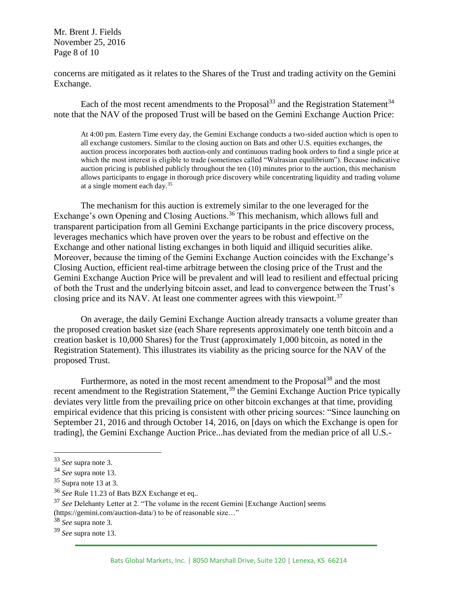Mr. Brent J. Fields November 25, 2016 Page 8 of 10

concerns are mitigated as it relates to the Shares of the Trust and trading activity on the Gemini Exchange.

Each of the most recent amendments to the Proposal<sup>33</sup> and the Registration Statement<sup>34</sup> note that the NAV of the proposed Trust will be based on the Gemini Exchange Auction Price:

At 4:00 pm. Eastern Time every day, the Gemini Exchange conducts a two-sided auction which is open to all exchange customers. Similar to the closing auction on Bats and other U.S. equities exchanges, the auction process incorporates both auction-only and continuous trading book orders to find a single price at which the most interest is eligible to trade (sometimes called "Walrasian equilibrium"). Because indicative auction pricing is published publicly throughout the ten (10) minutes prior to the auction, this mechanism allows participants to engage in thorough price discovery while concentrating liquidity and trading volume at a single moment each day.<sup>35</sup>

The mechanism for this auction is extremely similar to the one leveraged for the Exchange's own Opening and Closing Auctions.<sup>36</sup> This mechanism, which allows full and transparent participation from all Gemini Exchange participants in the price discovery process, leverages mechanics which have proven over the years to be robust and effective on the Exchange and other national listing exchanges in both liquid and illiquid securities alike. Moreover, because the timing of the Gemini Exchange Auction coincides with the Exchange's Closing Auction, efficient real-time arbitrage between the closing price of the Trust and the Gemini Exchange Auction Price will be prevalent and will lead to resilient and effectual pricing of both the Trust and the underlying bitcoin asset, and lead to convergence between the Trust's closing price and its NAV. At least one commenter agrees with this viewpoint.<sup>37</sup>

On average, the daily Gemini Exchange Auction already transacts a volume greater than the proposed creation basket size (each Share represents approximately one tenth bitcoin and a creation basket is 10,000 Shares) for the Trust (approximately 1,000 bitcoin, as noted in the Registration Statement). This illustrates its viability as the pricing source for the NAV of the proposed Trust.

Furthermore, as noted in the most recent amendment to the Proposal<sup>38</sup> and the most recent amendment to the Registration Statement,<sup>39</sup> the Gemini Exchange Auction Price typically deviates very little from the prevailing price on other bitcoin exchanges at that time, providing empirical evidence that this pricing is consistent with other pricing sources: "Since launching on September 21, 2016 and through October 14, 2016, on [days on which the Exchange is open for trading], the Gemini Exchange Auction Price...has deviated from the median price of all U.S.-

<sup>33</sup> *See* supra note 3.

<sup>34</sup> *See* supra note 13.

 $35$  Supra note 13 at 3.

<sup>36</sup> *See* Rule 11.23 of Bats BZX Exchange et eq..

<sup>37</sup> *See* Delehanty Letter at 2. "The volume in the recent Gemini [Exchange Auction] seems (https://gemini.com/auction-data/) to be of reasonable size…"

<sup>38</sup> *See* supra note 3.

<sup>39</sup> *See* supra note 13.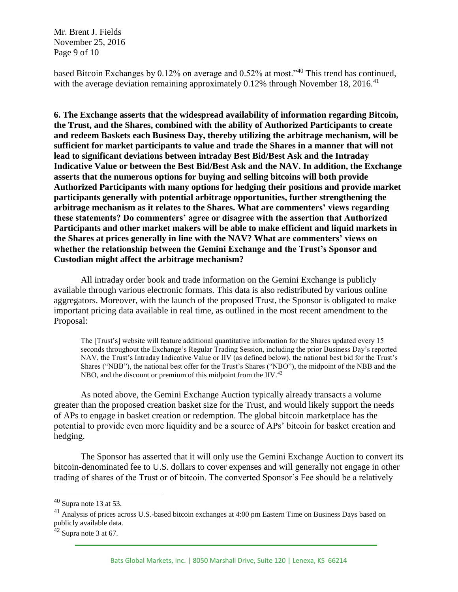Mr. Brent J. Fields November 25, 2016 Page 9 of 10

based Bitcoin Exchanges by 0.12% on average and 0.52% at most."<sup>40</sup> This trend has continued, with the average deviation remaining approximately  $0.12\%$  through November 18, 2016.<sup>41</sup>

**6. The Exchange asserts that the widespread availability of information regarding Bitcoin, the Trust, and the Shares, combined with the ability of Authorized Participants to create and redeem Baskets each Business Day, thereby utilizing the arbitrage mechanism, will be sufficient for market participants to value and trade the Shares in a manner that will not lead to significant deviations between intraday Best Bid/Best Ask and the Intraday Indicative Value or between the Best Bid/Best Ask and the NAV. In addition, the Exchange asserts that the numerous options for buying and selling bitcoins will both provide Authorized Participants with many options for hedging their positions and provide market participants generally with potential arbitrage opportunities, further strengthening the arbitrage mechanism as it relates to the Shares. What are commenters' views regarding these statements? Do commenters' agree or disagree with the assertion that Authorized Participants and other market makers will be able to make efficient and liquid markets in the Shares at prices generally in line with the NAV? What are commenters' views on whether the relationship between the Gemini Exchange and the Trust's Sponsor and Custodian might affect the arbitrage mechanism?**

All intraday order book and trade information on the Gemini Exchange is publicly available through various electronic formats. This data is also redistributed by various online aggregators. Moreover, with the launch of the proposed Trust, the Sponsor is obligated to make important pricing data available in real time, as outlined in the most recent amendment to the Proposal:

The [Trust's] website will feature additional quantitative information for the Shares updated every 15 seconds throughout the Exchange's Regular Trading Session, including the prior Business Day's reported NAV, the Trust's Intraday Indicative Value or IIV (as defined below), the national best bid for the Trust's Shares ("NBB"), the national best offer for the Trust's Shares ("NBO"), the midpoint of the NBB and the NBO, and the discount or premium of this midpoint from the  $\rm{HV.}^{42}$ 

As noted above, the Gemini Exchange Auction typically already transacts a volume greater than the proposed creation basket size for the Trust, and would likely support the needs of APs to engage in basket creation or redemption. The global bitcoin marketplace has the potential to provide even more liquidity and be a source of APs' bitcoin for basket creation and hedging.

The Sponsor has asserted that it will only use the Gemini Exchange Auction to convert its bitcoin-denominated fee to U.S. dollars to cover expenses and will generally not engage in other trading of shares of the Trust or of bitcoin. The converted Sponsor's Fee should be a relatively

 $40$  Supra note 13 at 53.

<sup>&</sup>lt;sup>41</sup> Analysis of prices across U.S.-based bitcoin exchanges at 4:00 pm Eastern Time on Business Days based on publicly available data.

 $42$  Supra note 3 at 67.